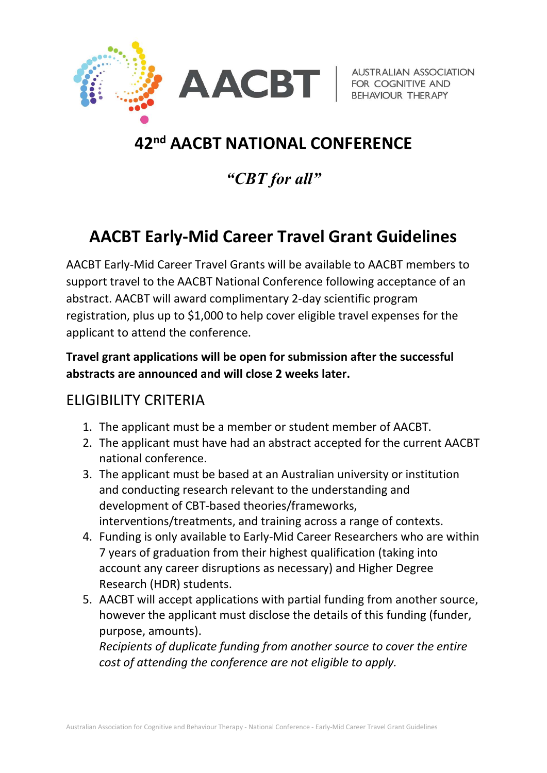

**AUSTRALIAN ASSOCIATION** 

# 42<sup>nd</sup> AACBT NATIONAL CONFERENCE

# "CBT for all"

# AACBT Early-Mid Career Travel Grant Guidelines

AACBT Early-Mid Career Travel Grants will be available to AACBT members to support travel to the AACBT National Conference following acceptance of an abstract. AACBT will award complimentary 2-day scientific program registration, plus up to \$1,000 to help cover eligible travel expenses for the applicant to attend the conference.

#### Travel grant applications will be open for submission after the successful abstracts are announced and will close 2 weeks later.

#### ELIGIBILITY CRITERIA

- 1. The applicant must be a member or student member of AACBT.
- 2. The applicant must have had an abstract accepted for the current AACBT national conference.
- 3. The applicant must be based at an Australian university or institution and conducting research relevant to the understanding and development of CBT-based theories/frameworks, interventions/treatments, and training across a range of contexts.
- 4. Funding is only available to Early-Mid Career Researchers who are within 7 years of graduation from their highest qualification (taking into account any career disruptions as necessary) and Higher Degree Research (HDR) students.
- 5. AACBT will accept applications with partial funding from another source, however the applicant must disclose the details of this funding (funder, purpose, amounts).

Recipients of duplicate funding from another source to cover the entire cost of attending the conference are not eligible to apply.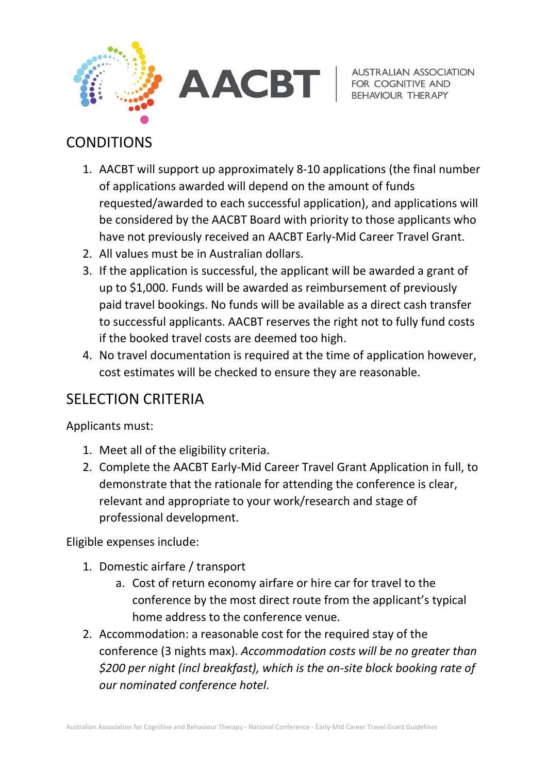



**AUSTRALIAN ASSOCIATION BEHAVIOUR THERAPY** 

### CONDITIONS

- 1. AACBT will support up approximately 8-10 applications (the final number of applications awarded will depend on the amount of funds requested/awarded to each successful application), and applications will be considered by the AACBT Board with priority to those applicants who have not previously received an AACBT Early-Mid Career Travel Grant.
- 2. All values must be in Australian dollars.
- 3. If the application is successful, the applicant will be awarded a grant of up to \$1,000. Funds will be awarded as reimbursement of previously paid travel bookings. No funds will be available as a direct cash transfer to successful applicants. AACBT reserves the right not to fully fund costs if the booked travel costs are deemed too high.
- 4. No travel documentation is required at the time of application however, cost estimates will be checked to ensure they are reasonable.

## SELECTION CRITERIA

Applicants must:

- 1. Meet all of the eligibility criteria.
- 2. Complete the AACBT Early-Mid Career Travel Grant Application in full, to demonstrate that the rationale for attending the conference is clear, relevant and appropriate to your work/research and stage of professional development.

Eligible expenses include:

- 1. Domestic airfare / transport
	- a. Cost of return economy airfare or hire car for travel to the conference by the most direct route from the applicant's typical home address to the conference venue.
- 2. Accommodation: a reasonable cost for the required stay of the conference (3 nights max). Accommodation costs will be no greater than \$200 per night (incl breakfast), which is the on-site block booking rate of our nominated conference hotel.